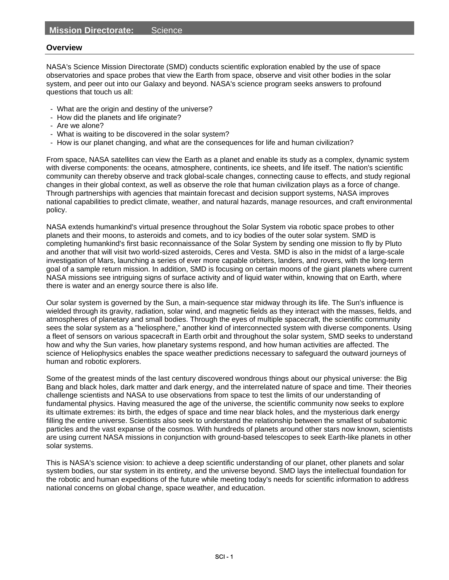#### **Overview**

NASA's Science Mission Directorate (SMD) conducts scientific exploration enabled by the use of space observatories and space probes that view the Earth from space, observe and visit other bodies in the solar system, and peer out into our Galaxy and beyond. NASA's science program seeks answers to profound questions that touch us all:

- What are the origin and destiny of the universe?
- How did the planets and life originate?
- Are we alone?
- What is waiting to be discovered in the solar system?
- How is our planet changing, and what are the consequences for life and human civilization?

From space, NASA satellites can view the Earth as a planet and enable its study as a complex, dynamic system with diverse components: the oceans, atmosphere, continents, ice sheets, and life itself. The nation's scientific community can thereby observe and track global-scale changes, connecting cause to effects, and study regional changes in their global context, as well as observe the role that human civilization plays as a force of change. Through partnerships with agencies that maintain forecast and decision support systems, NASA improves national capabilities to predict climate, weather, and natural hazards, manage resources, and craft environmental policy.

NASA extends humankind's virtual presence throughout the Solar System via robotic space probes to other planets and their moons, to asteroids and comets, and to icy bodies of the outer solar system. SMD is completing humankind's first basic reconnaissance of the Solar System by sending one mission to fly by Pluto and another that will visit two world-sized asteroids, Ceres and Vesta. SMD is also in the midst of a large-scale investigation of Mars, launching a series of ever more capable orbiters, landers, and rovers, with the long-term goal of a sample return mission. In addition, SMD is focusing on certain moons of the giant planets where current NASA missions see intriguing signs of surface activity and of liquid water within, knowing that on Earth, where there is water and an energy source there is also life.

Our solar system is governed by the Sun, a main-sequence star midway through its life. The Sun's influence is wielded through its gravity, radiation, solar wind, and magnetic fields as they interact with the masses, fields, and atmospheres of planetary and small bodies. Through the eyes of multiple spacecraft, the scientific community sees the solar system as a "heliosphere," another kind of interconnected system with diverse components. Using a fleet of sensors on various spacecraft in Earth orbit and throughout the solar system, SMD seeks to understand how and why the Sun varies, how planetary systems respond, and how human activities are affected. The science of Heliophysics enables the space weather predictions necessary to safeguard the outward journeys of human and robotic explorers.

Some of the greatest minds of the last century discovered wondrous things about our physical universe: the Big Bang and black holes, dark matter and dark energy, and the interrelated nature of space and time. Their theories challenge scientists and NASA to use observations from space to test the limits of our understanding of fundamental physics. Having measured the age of the universe, the scientific community now seeks to explore its ultimate extremes: its birth, the edges of space and time near black holes, and the mysterious dark energy filling the entire universe. Scientists also seek to understand the relationship between the smallest of subatomic particles and the vast expanse of the cosmos. With hundreds of planets around other stars now known, scientists are using current NASA missions in conjunction with ground-based telescopes to seek Earth-like planets in other solar systems.

This is NASA's science vision: to achieve a deep scientific understanding of our planet, other planets and solar system bodies, our star system in its entirety, and the universe beyond. SMD lays the intellectual foundation for the robotic and human expeditions of the future while meeting today's needs for scientific information to address national concerns on global change, space weather, and education.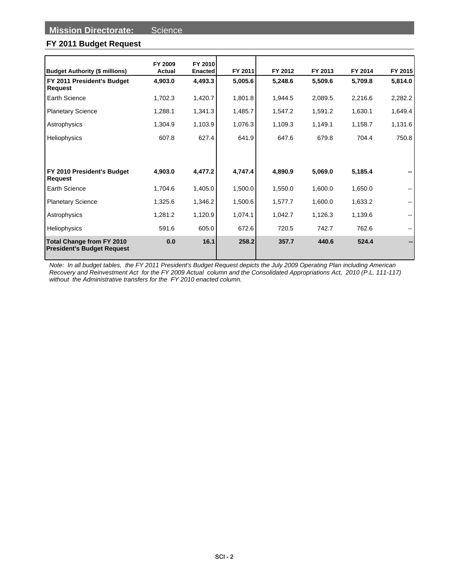## **FY 2011 Budget Request**

|                                                                |                   | FY 2010        |         |         |         |         |                          |
|----------------------------------------------------------------|-------------------|----------------|---------|---------|---------|---------|--------------------------|
| <b>Budget Authority (\$ millions)</b>                          | FY 2009<br>Actual | <b>Enacted</b> | FY 2011 | FY 2012 | FY 2013 | FY 2014 | FY 2015                  |
| FY 2011 President's Budget<br>Request                          | 4,903.0           | 4,493.3        | 5,005.6 | 5,248.6 | 5,509.6 | 5,709.8 | 5,814.0                  |
| Earth Science                                                  | 1,702.3           | 1,420.7        | 1,801.8 | 1,944.5 | 2,089.5 | 2,216.6 | 2,282.2                  |
| <b>Planetary Science</b>                                       | 1,288.1           | 1,341.3        | 1,485.7 | 1,547.2 | 1,591.2 | 1,630.1 | 1,649.4                  |
| Astrophysics                                                   | 1,304.9           | 1,103.9        | 1,076.3 | 1,109.3 | 1,149.1 | 1,158.7 | 1,131.6                  |
| Heliophysics                                                   | 607.8             | 627.4          | 641.9   | 647.6   | 679.8   | 704.4   | 750.8                    |
|                                                                |                   |                |         |         |         |         |                          |
|                                                                |                   |                |         |         |         |         |                          |
| FY 2010 President's Budget<br>Request                          | 4,903.0           | 4,477.2        | 4,747.4 | 4,890.9 | 5,069.0 | 5,185.4 |                          |
| Earth Science                                                  | 1,704.6           | 1,405.0        | 1,500.0 | 1,550.0 | 1,600.0 | 1,650.0 | --                       |
| <b>Planetary Science</b>                                       | 1,325.6           | 1,346.2        | 1,500.6 | 1,577.7 | 1,600.0 | 1,633.2 | $\overline{\phantom{a}}$ |
| Astrophysics                                                   | 1,281.2           | 1,120.9        | 1,074.1 | 1,042.7 | 1,126.3 | 1,139.6 | $\overline{\phantom{a}}$ |
| Heliophysics                                                   | 591.6             | 605.0          | 672.6   | 720.5   | 742.7   | 762.6   | --                       |
| Total Change from FY 2010<br><b>President's Budget Request</b> | 0.0               | 16.1           | 258.2   | 357.7   | 440.6   | 524.4   |                          |

Note: In all budget tables, the FY 2011 President's Budget Request depicts the July 2009 Operating Plan including American Recovery and Reinvestment Act for the FY 2009 Actual column and the Consolidated Appropriations Act, 2010 (P.L. 111-117) without the Administrative transfers for the FY 2010 enacted column.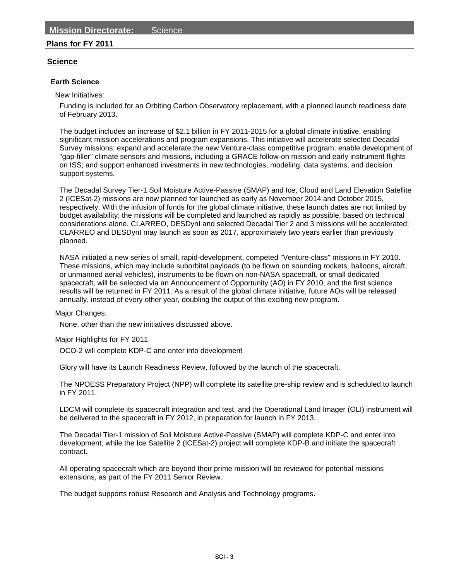## **Plans for FY 2011**

## **Science**

### **Earth Science**

New Initiatives:

Funding is included for an Orbiting Carbon Observatory replacement, with a planned launch readiness date of February 2013.

The budget includes an increase of \$2.1 billion in FY 2011-2015 for a global climate initiative, enabling significant mission accelerations and program expansions. This initiative will accelerate selected Decadal Survey missions; expand and accelerate the new Venture-class competitive program; enable development of "gap-filler" climate sensors and missions, including a GRACE follow-on mission and early instrument flights on ISS; and support enhanced investments in new technologies, modeling, data systems, and decision support systems.

The Decadal Survey Tier-1 Soil Moisture Active-Passive (SMAP) and Ice, Cloud and Land Elevation Satellite 2 (ICESat-2) missions are now planned for launched as early as November 2014 and October 2015, respectively. With the infusion of funds for the global climate initiative, these launch dates are not limited by budget availability; the missions will be completed and launched as rapidly as possible, based on technical considerations alone. CLARREO, DESDynI and selected Decadal Tier 2 and 3 missions will be accelerated; CLARREO and DESDynI may launch as soon as 2017, approximately two years earlier than previously planned.

NASA initiated a new series of small, rapid-development, competed "Venture-class" missions in FY 2010. These missions, which may include suborbital payloads (to be flown on sounding rockets, balloons, aircraft, or unmanned aerial vehicles), instruments to be flown on non-NASA spacecraft, or small dedicated spacecraft, will be selected via an Announcement of Opportunity (AO) in FY 2010, and the first science results will be returned in FY 2011. As a result of the global climate initiative, future AOs will be released annually, instead of every other year, doubling the output of this exciting new program.

Major Changes:

None, other than the new initiatives discussed above.

Major Highlights for FY 2011

OCO-2 will complete KDP-C and enter into development

Glory will have its Launch Readiness Review, followed by the launch of the spacecraft.

The NPOESS Preparatory Project (NPP) will complete its satellite pre-ship review and is scheduled to launch in FY 2011.

LDCM will complete its spacecraft integration and test, and the Operational Land Imager (OLI) instrument will be delivered to the spacecraft in FY 2012, in preparation for launch in FY 2013.

The Decadal Tier-1 mission of Soil Moisture Active-Passive (SMAP) will complete KDP-C and enter into development, while the Ice Satellite 2 (ICESat-2) project will complete KDP-B and initiate the spacecraft contract.

All operating spacecraft which are beyond their prime mission will be reviewed for potential missions extensions, as part of the FY 2011 Senior Review.

The budget supports robust Research and Analysis and Technology programs.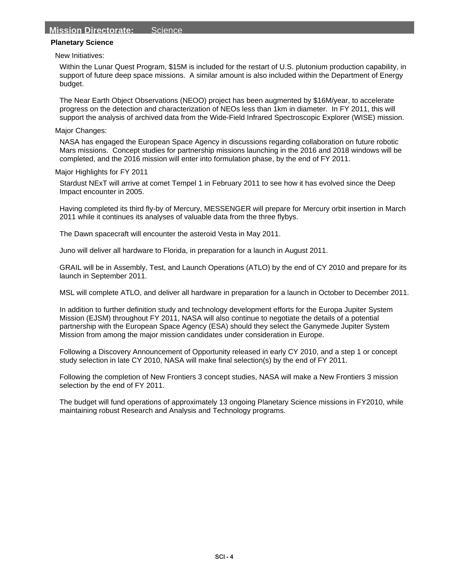## **Mission Directorate:** Science

#### **Planetary Science**

New Initiatives:

Within the Lunar Quest Program, \$15M is included for the restart of U.S. plutonium production capability, in support of future deep space missions. A similar amount is also included within the Department of Energy budget.

The Near Earth Object Observations (NEOO) project has been augmented by \$16M/year, to accelerate progress on the detection and characterization of NEOs less than 1km in diameter. In FY 2011, this will support the analysis of archived data from the Wide-Field Infrared Spectroscopic Explorer (WISE) mission.

#### Major Changes:

NASA has engaged the European Space Agency in discussions regarding collaboration on future robotic Mars missions. Concept studies for partnership missions launching in the 2016 and 2018 windows will be completed, and the 2016 mission will enter into formulation phase, by the end of FY 2011.

Major Highlights for FY 2011

Stardust NExT will arrive at comet Tempel 1 in February 2011 to see how it has evolved since the Deep Impact encounter in 2005.

Having completed its third fly-by of Mercury, MESSENGER will prepare for Mercury orbit insertion in March 2011 while it continues its analyses of valuable data from the three flybys.

The Dawn spacecraft will encounter the asteroid Vesta in May 2011.

Juno will deliver all hardware to Florida, in preparation for a launch in August 2011.

GRAIL will be in Assembly, Test, and Launch Operations (ATLO) by the end of CY 2010 and prepare for its launch in September 2011.

MSL will complete ATLO, and deliver all hardware in preparation for a launch in October to December 2011.

In addition to further definition study and technology development efforts for the Europa Jupiter System Mission (EJSM) throughout FY 2011, NASA will also continue to negotiate the details of a potential partnership with the European Space Agency (ESA) should they select the Ganymede Jupiter System Mission from among the major mission candidates under consideration in Europe.

Following a Discovery Announcement of Opportunity released in early CY 2010, and a step 1 or concept study selection in late CY 2010, NASA will make final selection(s) by the end of FY 2011.

Following the completion of New Frontiers 3 concept studies, NASA will make a New Frontiers 3 mission selection by the end of FY 2011.

The budget will fund operations of approximately 13 ongoing Planetary Science missions in FY2010, while maintaining robust Research and Analysis and Technology programs.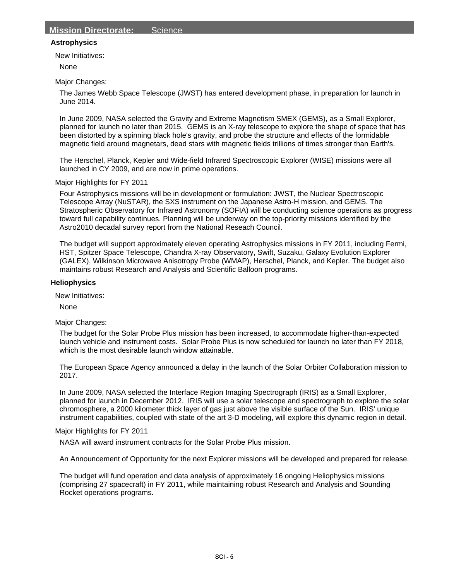## **Astrophysics**

New Initiatives:

None

#### Major Changes:

The James Webb Space Telescope (JWST) has entered development phase, in preparation for launch in June 2014.

In June 2009, NASA selected the Gravity and Extreme Magnetism SMEX (GEMS), as a Small Explorer, planned for launch no later than 2015. GEMS is an X-ray telescope to explore the shape of space that has been distorted by a spinning black hole's gravity, and probe the structure and effects of the formidable magnetic field around magnetars, dead stars with magnetic fields trillions of times stronger than Earth's.

The Herschel, Planck, Kepler and Wide-field Infrared Spectroscopic Explorer (WISE) missions were all launched in CY 2009, and are now in prime operations.

Major Highlights for FY 2011

Four Astrophysics missions will be in development or formulation: JWST, the Nuclear Spectroscopic Telescope Array (NuSTAR), the SXS instrument on the Japanese Astro-H mission, and GEMS. The Stratospheric Observatory for Infrared Astronomy (SOFIA) will be conducting science operations as progress toward full capability continues. Planning will be underway on the top-priority missions identified by the Astro2010 decadal survey report from the National Reseach Council.

The budget will support approximately eleven operating Astrophysics missions in FY 2011, including Fermi, HST, Spitzer Space Telescope, Chandra X-ray Observatory, Swift, Suzaku, Galaxy Evolution Explorer (GALEX), Wilkinson Microwave Anisotropy Probe (WMAP), Herschel, Planck, and Kepler. The budget also maintains robust Research and Analysis and Scientific Balloon programs.

#### **Heliophysics**

New Initiatives:

None

Major Changes:

The budget for the Solar Probe Plus mission has been increased, to accommodate higher-than-expected launch vehicle and instrument costs. Solar Probe Plus is now scheduled for launch no later than FY 2018, which is the most desirable launch window attainable.

The European Space Agency announced a delay in the launch of the Solar Orbiter Collaboration mission to 2017.

In June 2009, NASA selected the Interface Region Imaging Spectrograph (IRIS) as a Small Explorer, planned for launch in December 2012. IRIS will use a solar telescope and spectrograph to explore the solar chromosphere, a 2000 kilometer thick layer of gas just above the visible surface of the Sun. IRIS' unique instrument capabilities, coupled with state of the art 3-D modeling, will explore this dynamic region in detail.

#### Major Highlights for FY 2011

NASA will award instrument contracts for the Solar Probe Plus mission.

An Announcement of Opportunity for the next Explorer missions will be developed and prepared for release.

The budget will fund operation and data analysis of approximately 16 ongoing Heliophysics missions (comprising 27 spacecraft) in FY 2011, while maintaining robust Research and Analysis and Sounding Rocket operations programs.